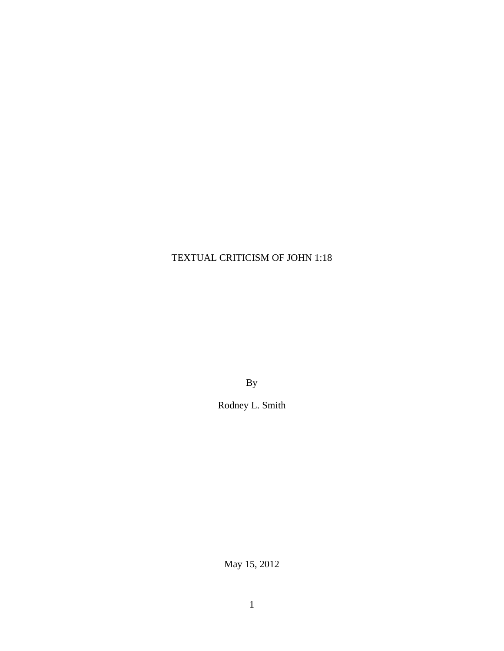# TEXTUAL CRITICISM OF JOHN 1:18

By

Rodney L. Smith

May 15, 2012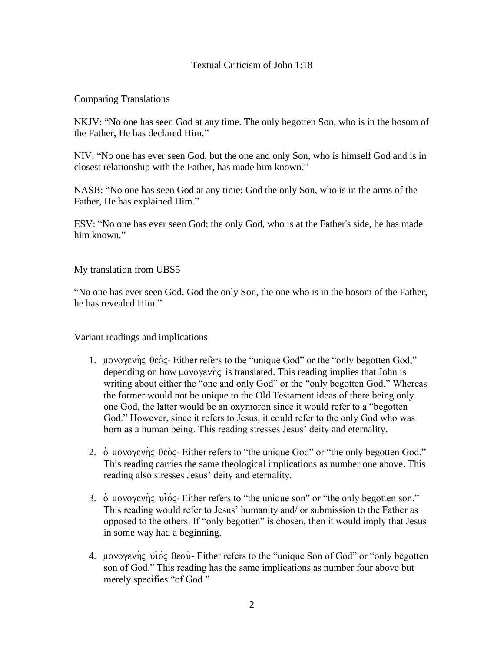# Textual Criticism of John 1:18

## Comparing Translations

NKJV: "No one has seen God at any time. The only begotten Son, who is in the bosom of the Father, He has declared Him."

NIV: "No one has ever seen God, but the one and only Son, who is himself God and is in closest relationship with the Father, has made him known."

NASB: "No one has seen God at any time; God the only Son, who is in the arms of the Father, He has explained Him."

ESV: "No one has ever seen God; the only God, who is at the Father's side, he has made him known."

My translation from UBS5

"No one has ever seen God. God the only Son, the one who is in the bosom of the Father, he has revealed Him."

Variant readings and implications

- 1. μονογενής θεός- Either refers to the "unique God" or the "only begotten God," depending on how μονογενής is translated. This reading implies that John is writing about either the "one and only God" or the "only begotten God." Whereas the former would not be unique to the Old Testament ideas of there being only one God, the latter would be an oxymoron since it would refer to a "begotten God." However, since it refers to Jesus, it could refer to the only God who was born as a human being. This reading stresses Jesus' deity and eternality.
- 2. o μονογενής θεός- Either refers to "the unique God" or "the only begotten God." This reading carries the same theological implications as number one above. This reading also stresses Jesus' deity and eternality.
- 3.  $\dot{\text{o}}$  uovoyevnς vios- Either refers to "the unique son" or "the only begotten son." This reading would refer to Jesus' humanity and/ or submission to the Father as opposed to the others. If "only begotten" is chosen, then it would imply that Jesus in some way had a beginning.
- 4. μονογενής υιός θεού-Either refers to the "unique Son of God" or "only begotten son of God." This reading has the same implications as number four above but merely specifies "of God."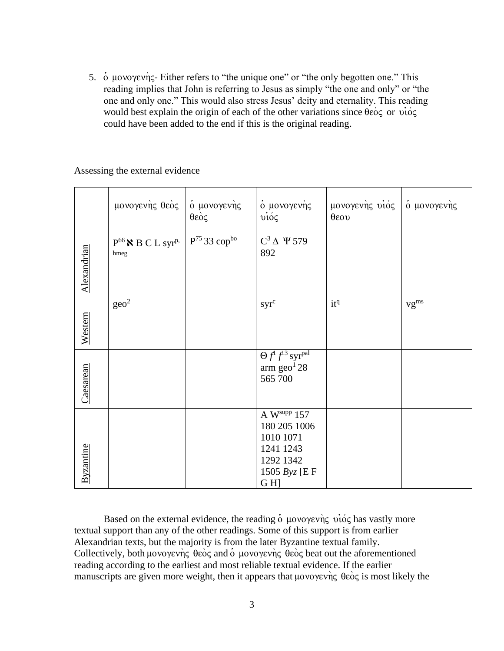5.  $\dot{\text{o}}$  μονογενής- Either refers to "the unique one" or "the only begotten one." This reading implies that John is referring to Jesus as simply "the one and only" or "the one and only one." This would also stress Jesus' deity and eternality. This reading would best explain the origin of each of the other variations since  $\theta \hat{\epsilon} \hat{\delta} \hat{\epsilon}$  or  $\hat{\nu} \hat{\delta} \hat{\epsilon}$ could have been added to the end if this is the original reading.

Assessing the external evidence

|                  | μονογενής θεός                             | ό μονογενής<br>$\theta$ εός          | ο μονογενής<br>$\vec{v}$                                                                     | μονογενής υιός ό μονογενής<br>$\theta$ εου |           |
|------------------|--------------------------------------------|--------------------------------------|----------------------------------------------------------------------------------------------|--------------------------------------------|-----------|
| Alexandrian      | $P^{66}$ N B C L syr <sup>p,</sup><br>hmeg | $P^{75}$ 33 $\text{cop}^{\text{bo}}$ | $C^3 \Delta \Psi 579$<br>892                                                                 |                                            |           |
| Western          | geo <sup>2</sup>                           |                                      | $syr^c$                                                                                      | itq                                        | $vg^{ms}$ |
| Caesarean        |                                            |                                      | $\Theta f^1 f^{13}$ syr <sup>pal</sup><br>$arm\,geo^128$<br>565 700                          |                                            |           |
| <b>Byzantine</b> |                                            |                                      | A Wsupp $157$<br>180 205 1006<br>1010 1071<br>1241 1243<br>1292 1342<br>1505 Byz [E F<br>GH] |                                            |           |

Based on the external evidence, the reading  $\dot{o}$  μονογενής νιός has vastly more textual support than any of the other readings. Some of this support is from earlier Alexandrian texts, but the majority is from the later Byzantine textual family. Collectively, both  $\mu$ ovoy $\epsilon v$  $\hat{v}$   $\epsilon$   $\hat{\theta}$  and  $\hat{\theta}$   $\mu$ ovoy $\epsilon v$  $\hat{v}$   $\epsilon$   $\hat{\theta}$  e $\hat{\theta}$  beat out the aforementioned reading according to the earliest and most reliable textual evidence. If the earlier manuscripts are given more weight, then it appears that  $\mu$ ovo $\gamma$ evng  $\theta$ eog is most likely the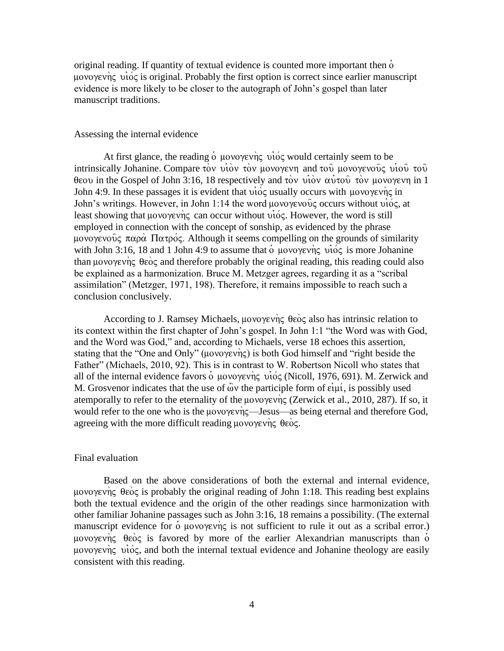original reading. If quantity of textual evidence is counted more important then  $\dot{\rm o}$  $\mu$ ovo $\gamma$ ev $\eta$  $\zeta$  vió $\zeta$  is original. Probably the first option is correct since earlier manuscript evidence is more likely to be closer to the autograph of John's gospel than later manuscript traditions.

#### Assessing the internal evidence

At first glance, the reading  $\dot{o}$  μονογενής νίος would certainly seem to be intrinsically Johanine. Compare τον υίον τον μονογενη and του μονογενούς υίου του: θεου in the Gospel of John 3:16, 18 respectively and τον υίον αυτού τον μονογενη in 1 John 4:9. In these passages it is evident that  $\vec{v}$  usually occurs with  $\mu$ ovo $\gamma$ ev $\eta \in \Pi$ John's writings. However, in John 1:14 the word μονογενούς occurs without  $\vec{v}$   $\vec{o}$ , at least showing that uovoyevnς can occur without  $\vec{v}$   $\vec{o}$ . However, the word is still employed in connection with the concept of sonship, as evidenced by the phrase μονογενούς παρά Πατρός. Although it seems compelling on the grounds of similarity with John 3:16, 18 and 1 John 4:9 to assume that  $\dot{\text{o}}$  μονογενής νίος is more Johanine than μονογενής θεός and therefore probably the original reading, this reading could also be explained as a harmonization. Bruce M. Metzger agrees, regarding it as a "scribal assimilation" (Metzger, 1971, 198). Therefore, it remains impossible to reach such a conclusion conclusively.

According to J. Ramsey Michaels,  $\mu$ ovo $\gamma \in \theta$ eò $\varsigma$  also has intrinsic relation to its context within the first chapter of John's gospel. In John 1:1 "the Word was with God, and the Word was God," and, according to Michaels, verse 18 echoes this assertion, stating that the "One and Only" (μονογενής) is both God himself and "right beside the Father" (Michaels, 2010, 92). This is in contrast to W. Robertson Nicoll who states that all of the internal evidence favors  $\dot{o}$  μονογενής νίος (Nicoll, 1976, 691). M. Zerwick and M. Grosvenor indicates that the use of  $\ddot{\omega}$  the participle form of  $\dot{\varepsilon}$ u $\acute{\mu}$ , is possibly used atemporally to refer to the eternality of the  $\mu$ ovo $\gamma \in V$  (Zerwick et al., 2010, 287). If so, it would refer to the one who is the  $\mu$ ovo $\gamma$ evn $\varsigma$ —Jesus—as being eternal and therefore God, agreeing with the more difficult reading  $\mu$ ovo $\gamma$ evng  $\theta \epsilon$ og.

#### Final evaluation

Based on the above considerations of both the external and internal evidence, μονογενής θεός is probably the original reading of John 1:18. This reading best explains both the textual evidence and the origin of the other readings since harmonization with other familiar Johanine passages such as John 3:16, 18 remains a possibility. (The external manuscript evidence for  $\dot{\text{o}}$  μονογενής is not sufficient to rule it out as a scribal error.) μονογενής θεός is favored by more of the earlier Alexandrian manuscripts than  $\dot{o}$  $\mu$ ovo $\gamma$ ev $\eta$ c vióc, and both the internal textual evidence and Johanine theology are easily consistent with this reading.